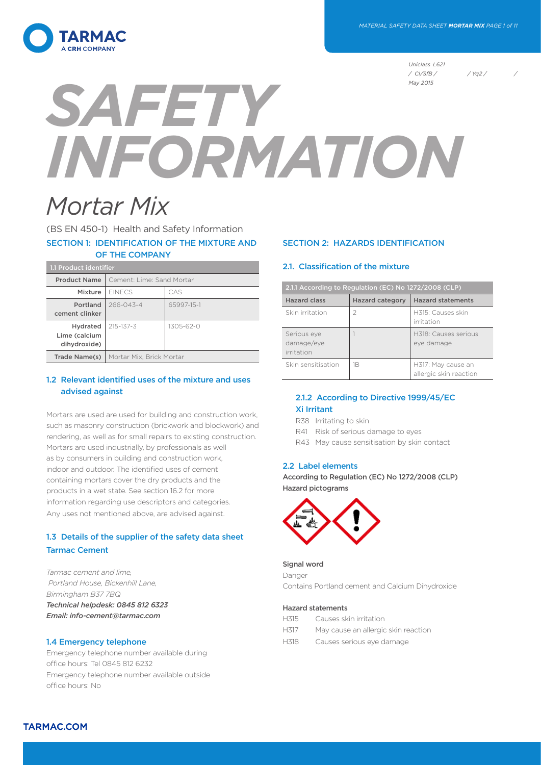

*Uniclass L621 / CI/SfB / / Yq2 / /* 

# *SAFETY INFORMATION May 2015*

# *Mortar Mix*

(BS EN 450-1) Health and Safety Information SECTION 1: IDENTIFICATION OF THE MIXTURE AND OF THE COMPANY

| 1.1 Product identifier                           |                           |                 |  |
|--------------------------------------------------|---------------------------|-----------------|--|
| <b>Product Name</b>                              | Cement: Lime: Sand Mortar |                 |  |
| Mixture                                          | <b>FINECS</b>             | CAS             |  |
| Portland<br>cement clinker                       | $266 - 043 - 4$           | 65997-15-1      |  |
| <b>Hydrated</b><br>Lime (calcium<br>dihydroxide) | $215 - 137 - 3$           | $1305 - 62 - 0$ |  |
| Trade Name(s)                                    | Mortar Mix, Brick Mortar  |                 |  |

# 1.2 Relevant identified uses of the mixture and uses advised against

Mortars are used are used for building and construction work, such as masonry construction (brickwork and blockwork) and rendering, as well as for small repairs to existing construction. Mortars are used industrially, by professionals as well as by consumers in building and construction work, indoor and outdoor. The identified uses of cement containing mortars cover the dry products and the products in a wet state. See section 16.2 for more information regarding use descriptors and categories. Any uses not mentioned above, are advised against.

# 1.3 Details of the supplier of the safety data sheet Tarmac Cement

*Tarmac cement and lime, Portland House, Bickenhill Lane, Birmingham B37 7BQ Technical helpdesk: 0845 812 6323 Email: info-cement@tarmac.com*

# 1.4 Emergency telephone

Emergency telephone number available during office hours: Tel 0845 812 6232 Emergency telephone number available outside office hours: No

# SECTION 2: HAZARDS IDENTIFICATION

# 2.1. Classification of the mixture

| 2.1.1 According to Regulation (EC) No 1272/2008 (CLP) |                        |                                              |  |
|-------------------------------------------------------|------------------------|----------------------------------------------|--|
| <b>Hazard class</b>                                   | <b>Hazard category</b> | <b>Hazard statements</b>                     |  |
| Skin irritation                                       | 2                      | H315: Causes skin<br>irritation              |  |
| Serious eye<br>damage/eye<br>irritation               |                        | H318: Causes serious<br>eye damage           |  |
| Skin sensitisation                                    | 1B                     | H317: May cause an<br>allergic skin reaction |  |

# 2.1.2 According to Directive 1999/45/EC Xi Irritant

- R38 Irritating to skin
- R41 Risk of serious damage to eyes
- R43 May cause sensitisation by skin contact

# 2.2 Label elements

According to Regulation (EC) No 1272/2008 (CLP) Hazard pictograms



# Signal word

Danger Contains Portland cement and Calcium Dihydroxide

#### Hazard statements

- H315 Causes skin irritation
- H317 May cause an allergic skin reaction
- H318 Causes serious eye damage

TARMAC.COM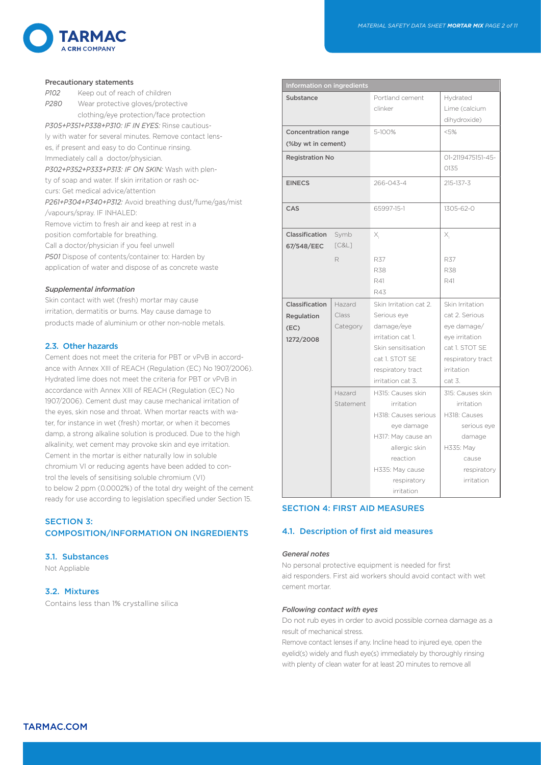

#### Precautionary statements

*P102* Keep out of reach of children *P280* Wear protective gloves/protective clothing/eye protection/face protection *P305+P351+P338+P310: IF IN EYES:* Rinse cautiously with water for several minutes. Remove contact lenses, if present and easy to do Continue rinsing. Immediately call a doctor/physician. *P302+P352+P333+P313: IF ON SKIN:* Wash with plenty of soap and water. If skin irritation or rash occurs: Get medical advice/attention *P261+P304+P340+P312:* Avoid breathing dust/fume/gas/mist /vapours/spray. IF INHALED: Remove victim to fresh air and keep at rest in a position comfortable for breathing. Call a doctor/physician if you feel unwell P501 Dispose of contents/container to: Harden by application of water and dispose of as concrete waste

#### *Supplemental information*

Skin contact with wet (fresh) mortar may cause irritation, dermatitis or burns. May cause damage to products made of aluminium or other non-noble metals.

#### 2.3. Other hazards

Cement does not meet the criteria for PBT or vPvB in accordance with Annex XIII of REACH (Regulation (EC) No 1907/2006). Hydrated lime does not meet the criteria for PBT or vPvB in accordance with Annex XIII of REACH (Regulation (EC) No 1907/2006). Cement dust may cause mechanical irritation of the eyes, skin nose and throat. When mortar reacts with water, for instance in wet (fresh) mortar, or when it becomes damp, a strong alkaline solution is produced. Due to the high alkalinity, wet cement may provoke skin and eye irritation. Cement in the mortar is either naturally low in soluble chromium VI or reducing agents have been added to control the levels of sensitising soluble chromium (VI) to below 2 ppm (0.0002%) of the total dry weight of the cement ready for use according to legislation specified under Section 15.

# SECTION 3: COMPOSITION/INFORMATION ON INGREDIENTS

# 3.1. Substances

Not Appliable

# 3.2. Mixtures

Contains less than 1% crystalline silica

| Information on ingredients                        |                             |                                                                                                                                                                          |                                                                                                                                   |  |
|---------------------------------------------------|-----------------------------|--------------------------------------------------------------------------------------------------------------------------------------------------------------------------|-----------------------------------------------------------------------------------------------------------------------------------|--|
| Substance                                         |                             | Portland cement<br>clinker                                                                                                                                               | Hydrated<br>Lime (calcium<br>dihydroxide)                                                                                         |  |
| <b>Concentration range</b><br>(%by wt in cement)  |                             | 5-100%                                                                                                                                                                   | < 5%                                                                                                                              |  |
| <b>Registration No</b>                            |                             |                                                                                                                                                                          | 01-2119475151-45-<br>0135                                                                                                         |  |
| <b>EINECS</b>                                     |                             | 266-043-4                                                                                                                                                                | 215-137-3                                                                                                                         |  |
| CAS                                               |                             | 65997-15-1                                                                                                                                                               | 1305-62-0                                                                                                                         |  |
| Classification<br>67/548/EEC                      | Symb<br>[C&L]               | Х,                                                                                                                                                                       | Х,                                                                                                                                |  |
|                                                   | R                           | R37<br><b>R38</b><br>R41<br>R43                                                                                                                                          | <b>R37</b><br><b>R38</b><br>R41                                                                                                   |  |
| Classification<br>Regulation<br>(EC)<br>1272/2008 | Hazard<br>Class<br>Category | Skin Irritation cat 2.<br>Serious eye<br>damage/eye<br>irritation cat 1.<br>Skin sensitisation<br>cat 1. STOT SE<br>respiratory tract<br>irritation cat 3.               | Skin Irritation<br>cat 2. Serious<br>eye damage/<br>eye irritation<br>cat 1. STOT SE<br>respiratory tract<br>irritation<br>cat 3. |  |
|                                                   | Hazard<br>Statement         | H315: Causes skin<br>irritation<br>H318: Causes serious<br>eye damage<br>H317: May cause an<br>allergic skin<br>reaction<br>H335: May cause<br>respiratory<br>irritation | 315: Causes skin<br>irritation<br>H318: Causes<br>serious eye<br>damage<br>H335: May<br>cause<br>respiratory<br>irritation        |  |

# SECTION 4: FIRST AID MEASURES

# 4.1. Description of first aid measures

#### *General notes*

No personal protective equipment is needed for first aid responders. First aid workers should avoid contact with wet cement mortar.

#### *Following contact with eyes*

Do not rub eyes in order to avoid possible cornea damage as a result of mechanical stress.

Remove contact lenses if any. Incline head to injured eye, open the eyelid(s) widely and flush eye(s) immediately by thoroughly rinsing with plenty of clean water for at least 20 minutes to remove all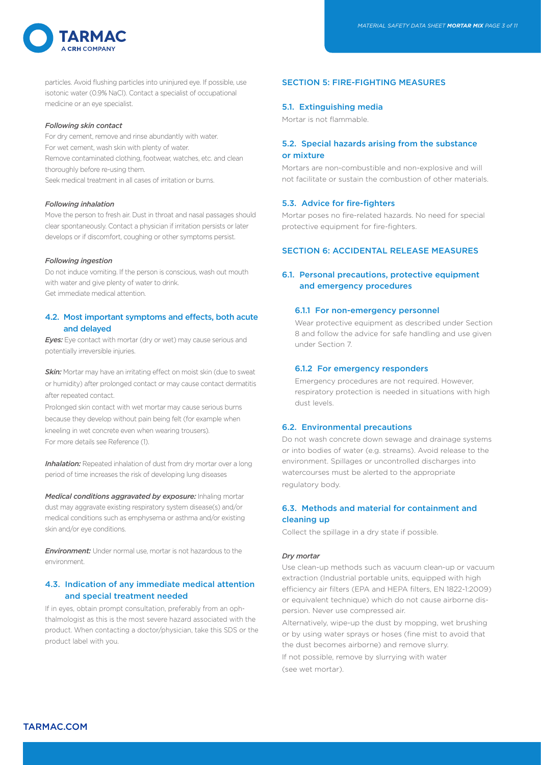

particles. Avoid flushing particles into uninjured eye. If possible, use isotonic water (0.9% NaCl). Contact a specialist of occupational medicine or an eye specialist.

#### *Following skin contact*

For dry cement, remove and rinse abundantly with water. For wet cement, wash skin with plenty of water. Remove contaminated clothing, footwear, watches, etc. and clean thoroughly before re-using them. Seek medical treatment in all cases of irritation or burns.

#### *Following inhalation*

Move the person to fresh air. Dust in throat and nasal passages should clear spontaneously. Contact a physician if irritation persists or later develops or if discomfort, coughing or other symptoms persist.

#### *Following ingestion*

Do not induce vomiting. If the person is conscious, wash out mouth with water and give plenty of water to drink. Get immediate medical attention.

# 4.2. Most important symptoms and effects, both acute and delayed

*Eyes:* Eye contact with mortar (dry or wet) may cause serious and potentially irreversible injuries.

**Skin:** Mortar may have an irritating effect on moist skin (due to sweat or humidity) after prolonged contact or may cause contact dermatitis after repeated contact.

Prolonged skin contact with wet mortar may cause serious burns because they develop without pain being felt (for example when kneeling in wet concrete even when wearing trousers). For more details see Reference (1).

*Inhalation:* Repeated inhalation of dust from dry mortar over a long period of time increases the risk of developing lung diseases

*Medical conditions aggravated by exposure:* Inhaling mortar dust may aggravate existing respiratory system disease(s) and/or medical conditions such as emphysema or asthma and/or existing skin and/or eye conditions.

*Environment:* Under normal use, mortar is not hazardous to the environment.

# 4.3. Indication of any immediate medical attention and special treatment needed

If in eyes, obtain prompt consultation, preferably from an ophthalmologist as this is the most severe hazard associated with the product. When contacting a doctor/physician, take this SDS or the product label with you.

# SECTION 5: FIRE-FIGHTING MEASURES

#### 5.1. Extinguishing media

Mortar is not flammable.

# 5.2. Special hazards arising from the substance or mixture

Mortars are non-combustible and non-explosive and will not facilitate or sustain the combustion of other materials.

# 5.3. Advice for fire-fighters

Mortar poses no fire-related hazards. No need for special protective equipment for fire-fighters.

#### SECTION 6: ACCIDENTAL RELEASE MEASURES

# 6.1. Personal precautions, protective equipment and emergency procedures

#### 6.1.1 For non-emergency personnel

Wear protective equipment as described under Section 8 and follow the advice for safe handling and use given under Section 7.

#### 6.1.2 For emergency responders

Emergency procedures are not required. However, respiratory protection is needed in situations with high dust levels.

#### 6.2. Environmental precautions

Do not wash concrete down sewage and drainage systems or into bodies of water (e.g. streams). Avoid release to the environment. Spillages or uncontrolled discharges into watercourses must be alerted to the appropriate regulatory body.

# 6.3. Methods and material for containment and cleaning up

Collect the spillage in a dry state if possible.

#### *Dry mortar*

Use clean-up methods such as vacuum clean-up or vacuum extraction (Industrial portable units, equipped with high efficiency air filters (EPA and HEPA filters, EN 1822-1:2009) or equivalent technique) which do not cause airborne dispersion. Never use compressed air.

Alternatively, wipe-up the dust by mopping, wet brushing or by using water sprays or hoses (fine mist to avoid that the dust becomes airborne) and remove slurry.

If not possible, remove by slurrying with water (see wet mortar).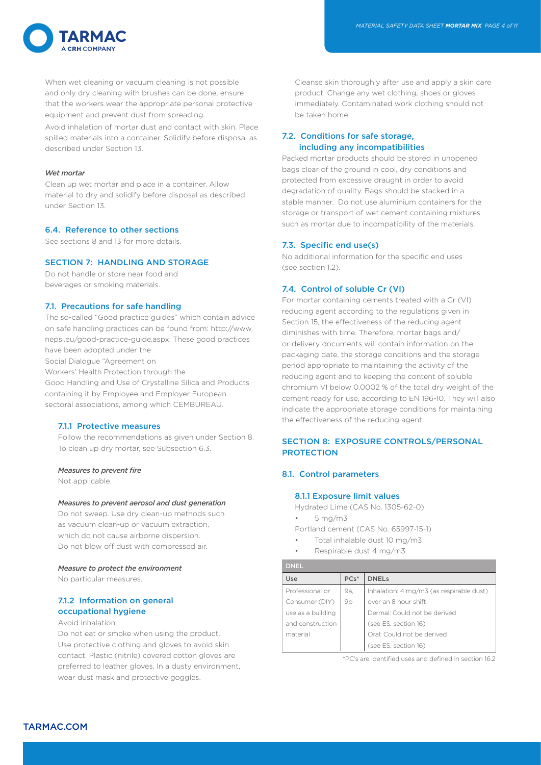

When wet cleaning or vacuum cleaning is not possible and only dry cleaning with brushes can be done, ensure that the workers wear the appropriate personal protective equipment and prevent dust from spreading.

Avoid inhalation of mortar dust and contact with skin. Place spilled materials into a container. Solidify before disposal as described under Section 13.

#### *Wet mortar*

Clean up wet mortar and place in a container. Allow material to dry and solidify before disposal as described under Section 13.

#### 6.4. Reference to other sections

See sections 8 and 13 for more details.

# SECTION 7: HANDLING AND STORAGE

Do not handle or store near food and beverages or smoking materials.

#### 7.1. Precautions for safe handling

The so-called "Good practice guides" which contain advice on safe handling practices can be found from: http://www. nepsi.eu/good-practice-guide.aspx. These good practices have been adopted under the Social Dialogue "Agreement on Workers' Health Protection through the Good Handling and Use of Crystalline Silica and Products containing it by Employee and Employer European sectoral associations, among which CEMBUREAU.

# 7.1.1 Protective measures

Follow the recommendations as given under Section 8. To clean up dry mortar, see Subsection 6.3.

#### *Measures to prevent fire*

Not applicable.

#### *Measures to prevent aerosol and dust generation*

Do not sweep. Use dry clean-up methods such as vacuum clean-up or vacuum extraction, which do not cause airborne dispersion. Do not blow off dust with compressed air.

#### *Measure to protect the environment*

No particular measures.

# 7.1.2 Information on general occupational hygiene

Avoid inhalation.

Do not eat or smoke when using the product. Use protective clothing and gloves to avoid skin contact. Plastic (nitrile) covered cotton gloves are preferred to leather gloves. In a dusty environment, wear dust mask and protective goggles.

Cleanse skin thoroughly after use and apply a skin care product. Change any wet clothing, shoes or gloves immediately. Contaminated work clothing should not be taken home.

# 7.2. Conditions for safe storage, including any incompatibilities

Packed mortar products should be stored in unopened bags clear of the ground in cool, dry conditions and protected from excessive draught in order to avoid degradation of quality. Bags should be stacked in a stable manner. Do not use aluminium containers for the storage or transport of wet cement containing mixtures such as mortar due to incompatibility of the materials.

# 7.3. Specific end use(s)

No additional information for the specific end uses  $(sap *a**ction** 12)$ 

# 7.4. Control of soluble Cr (VI)

For mortar containing cements treated with a Cr (VI) reducing agent according to the regulations given in Section 15, the effectiveness of the reducing agent diminishes with time. Therefore, mortar bags and/ or delivery documents will contain information on the packaging date, the storage conditions and the storage period appropriate to maintaining the activity of the reducing agent and to keeping the content of soluble chromium VI below 0.0002 % of the total dry weight of the cement ready for use, according to EN 196-10. They will also indicate the appropriate storage conditions for maintaining the effectiveness of the reducing agent.

# SECTION 8: EXPOSURE CONTROLS/PERSONAL **PROTECTION**

# 8.1. Control parameters

#### 8.1.1 Exposure limit values

Hydrated Lime (CAS No. 1305-62-0)

• 5 mg/m3

Portland cement (CAS No. 65997-15-1)

- Total inhalable dust 10 mg/m3
- Respirable dust 4 mg/m3

| <b>DNEL</b>       |                |                                          |
|-------------------|----------------|------------------------------------------|
| Use               | $PCs*$         | <b>DNELS</b>                             |
| Professional or   | 9а,            | Inhalation: 4 mg/m3 (as respirable dust) |
| Consumer (DIY)    | 9 <sub>b</sub> | over an 8 hour shift                     |
| use as a building |                | Dermal: Could not be derived             |
| and construction  |                | (see ES, section 16)                     |
| material          |                | Oral: Could not be derived               |
|                   |                | (see ES, section 16)                     |

\*PC's are identified uses and defined in section 16.2

TARMAC.COM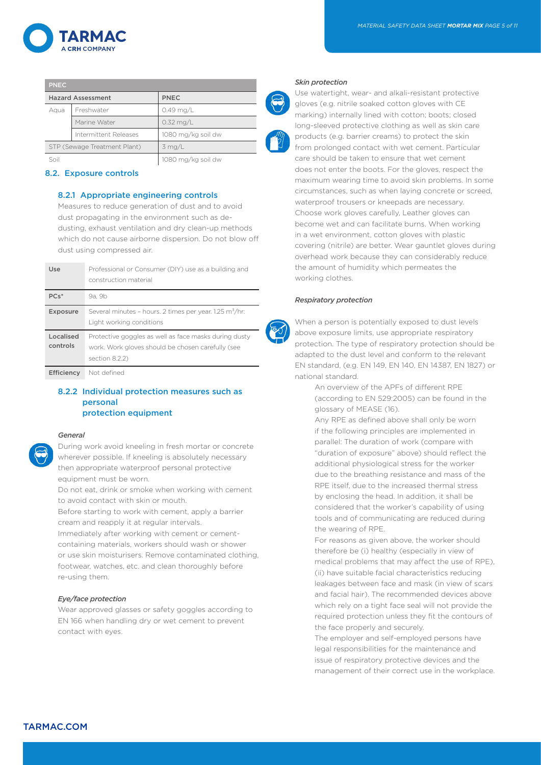

| <b>PNEC</b>                  |                       |                    |
|------------------------------|-----------------------|--------------------|
| <b>Hazard Assessment</b>     |                       | PNEC               |
| Aqua                         | Freshwater            | $0.49$ mg/L        |
|                              | Marine Water          | $0.32$ mg/L        |
|                              | Intermittent Releases | 1080 mg/kg soil dw |
| STP (Sewage Treatment Plant) |                       | $3$ mg/L           |
|                              |                       | 1080 mg/kg soil dw |

#### 8.2. Exposure controls

#### 8.2.1 Appropriate engineering controls

Measures to reduce generation of dust and to avoid dust propagating in the environment such as dedusting, exhaust ventilation and dry clean-up methods which do not cause airborne dispersion. Do not blow off dust using compressed air.

| Use                   | Professional or Consumer (DIY) use as a building and<br>construction material                                                |
|-----------------------|------------------------------------------------------------------------------------------------------------------------------|
| $PCs*$                | 9a. 9b                                                                                                                       |
| <b>Exposure</b>       | Several minutes - hours. 2 times per year. 1.25 m <sup>3</sup> /hr:<br>Light working conditions                              |
| Localised<br>controls | Protective goggles as well as face masks during dusty<br>work. Work gloves should be chosen carefully (see<br>section 8.2.2) |
| Efficiency            | Not defined                                                                                                                  |

# 8.2.2 Individual protection measures such as personal protection equipment

#### *General*

During work avoid kneeling in fresh mortar or concrete wherever possible. If kneeling is absolutely necessary then appropriate waterproof personal protective equipment must be worn.

Do not eat, drink or smoke when working with cement to avoid contact with skin or mouth.

Before starting to work with cement, apply a barrier cream and reapply it at regular intervals.

Immediately after working with cement or cementcontaining materials, workers should wash or shower or use skin moisturisers. Remove contaminated clothing, footwear, watches, etc. and clean thoroughly before re-using them.

#### *Eye/face protection*

Wear approved glasses or safety goggles according to EN 166 when handling dry or wet cement to prevent contact with eyes.

#### *Skin protection*

Use watertight, wear- and alkali-resistant protective gloves (e.g. nitrile soaked cotton gloves with CE marking) internally lined with cotton; boots; closed long-sleeved protective clothing as well as skin care products (e.g. barrier creams) to protect the skin from prolonged contact with wet cement. Particular care should be taken to ensure that wet cement does not enter the boots. For the gloves, respect the maximum wearing time to avoid skin problems. In some circumstances, such as when laying concrete or screed, waterproof trousers or kneepads are necessary. Choose work gloves carefully, Leather gloves can become wet and can facilitate burns. When working in a wet environment, cotton gloves with plastic covering (nitrile) are better. Wear gauntlet gloves during overhead work because they can considerably reduce the amount of humidity which permeates the working clothes.

#### *Respiratory protection*

When a person is potentially exposed to dust levels above exposure limits, use appropriate respiratory protection. The type of respiratory protection should be adapted to the dust level and conform to the relevant EN standard, (e.g. EN 149, EN 140, EN 14387, EN 1827) or national standard.

 An overview of the APFs of different RPE (according to EN 529:2005) can be found in the glossary of MEASE (16).

 Any RPE as defined above shall only be worn if the following principles are implemented in parallel: The duration of work (compare with "duration of exposure" above) should reflect the additional physiological stress for the worker due to the breathing resistance and mass of the RPE itself, due to the increased thermal stress by enclosing the head. In addition, it shall be considered that the worker's capability of using tools and of communicating are reduced during the wearing of RPE.

 For reasons as given above, the worker should therefore be (i) healthy (especially in view of medical problems that may affect the use of RPE), (ii) have suitable facial characteristics reducing leakages between face and mask (in view of scars and facial hair). The recommended devices above which rely on a tight face seal will not provide the required protection unless they fit the contours of the face properly and securely.

 The employer and self-employed persons have legal responsibilities for the maintenance and issue of respiratory protective devices and the management of their correct use in the workplace.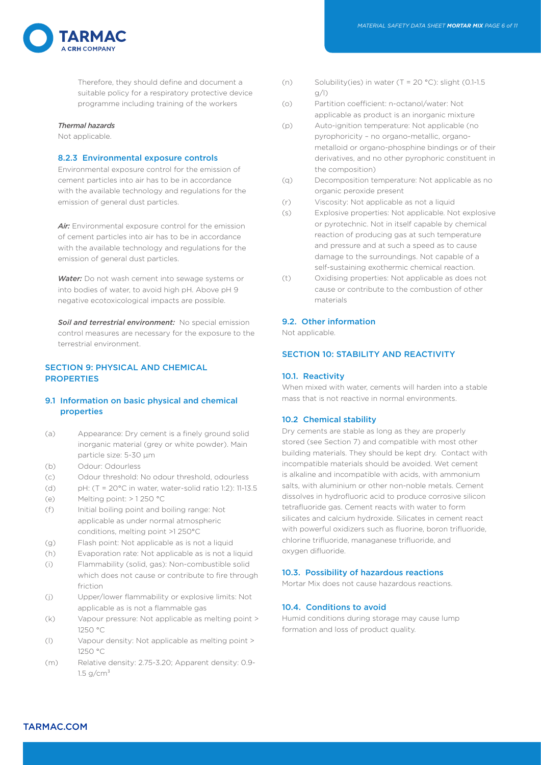

Therefore, they should define and document a suitable policy for a respiratory protective device programme including training of the workers

# *Thermal hazards*

Not applicable.

# 8.2.3 Environmental exposure controls

Environmental exposure control for the emission of cement particles into air has to be in accordance with the available technology and regulations for the emission of general dust particles.

*Air:* Environmental exposure control for the emission of cement particles into air has to be in accordance with the available technology and regulations for the emission of general dust particles.

*Water:* Do not wash cement into sewage systems or into bodies of water, to avoid high pH. Above pH 9 negative ecotoxicological impacts are possible.

*Soil and terrestrial environment:* No special emission control measures are necessary for the exposure to the terrestrial environment.

# SECTION 9: PHYSICAL AND CHEMICAL **PROPERTIES**

# 9.1 Information on basic physical and chemical properties

- (a) Appearance: Dry cement is a finely ground solid inorganic material (grey or white powder). Main particle size: 5-30 µm
- (b) Odour: Odourless
- (c) Odour threshold: No odour threshold, odourless
- (d) pH: (T = 20°C in water, water-solid ratio 1:2): 11-13.5
- (e) Melting point: > 1 250 °C
- (f) Initial boiling point and boiling range: Not applicable as under normal atmospheric conditions, melting point >1 250°C
- (g) Flash point: Not applicable as is not a liquid
- (h) Evaporation rate: Not applicable as is not a liquid
- (i) Flammability (solid, gas): Non-combustible solid which does not cause or contribute to fire through friction
- (j) Upper/lower flammability or explosive limits: Not applicable as is not a flammable gas
- (k) Vapour pressure: Not applicable as melting point > 1250 °C
- (l) Vapour density: Not applicable as melting point > 1250 °C
- (m) Relative density: 2.75-3.20; Apparent density: 0.9-  $1.5 \text{ g/cm}^3$
- (n) Solubility(ies) in water (T = 20 °C): slight (0.1-1.5 g/l)
- (o) Partition coefficient: n-octanol/water: Not applicable as product is an inorganic mixture
- (p) Auto-ignition temperature: Not applicable (no pyrophoricity – no organo-metallic, organometalloid or organo-phosphine bindings or of their derivatives, and no other pyrophoric constituent in the composition)
- (q) Decomposition temperature: Not applicable as no organic peroxide present
- (r) Viscosity: Not applicable as not a liquid
- (s) Explosive properties: Not applicable. Not explosive or pyrotechnic. Not in itself capable by chemical reaction of producing gas at such temperature and pressure and at such a speed as to cause damage to the surroundings. Not capable of a self-sustaining exothermic chemical reaction.
- (t) Oxidising properties: Not applicable as does not cause or contribute to the combustion of other materials

#### 9.2. Other information

Not applicable.

# SECTION 10: STABILITY AND REACTIVITY

#### 10.1. Reactivity

When mixed with water, cements will harden into a stable mass that is not reactive in normal environments.

#### 10.2 Chemical stability

Dry cements are stable as long as they are properly stored (see Section 7) and compatible with most other building materials. They should be kept dry. Contact with incompatible materials should be avoided. Wet cement is alkaline and incompatible with acids, with ammonium salts, with aluminium or other non-noble metals. Cement dissolves in hydrofluoric acid to produce corrosive silicon tetrafluoride gas. Cement reacts with water to form silicates and calcium hydroxide. Silicates in cement react with powerful oxidizers such as fluorine, boron trifluoride, chlorine trifluoride, managanese trifluoride, and oxygen difluoride.

# 10.3. Possibility of hazardous reactions

Mortar Mix does not cause hazardous reactions.

# 10.4. Conditions to avoid

Humid conditions during storage may cause lump formation and loss of product quality.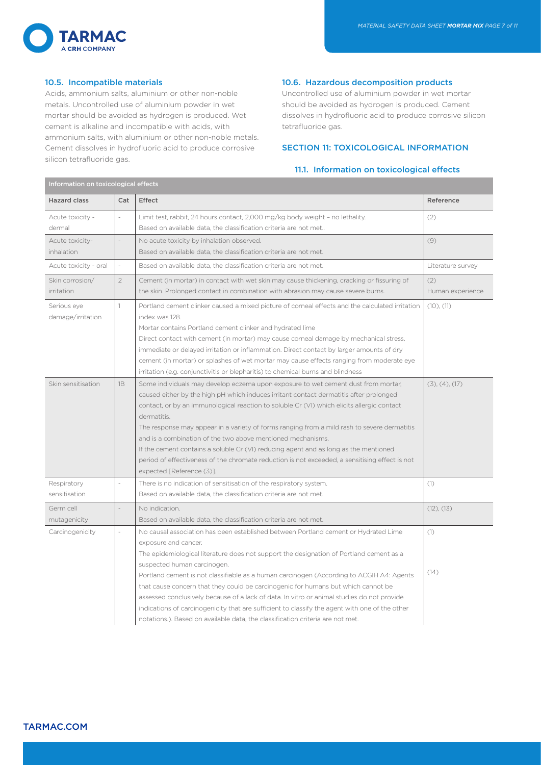

# 10.5. Incompatible materials

Information on toxicological effects

Acids, ammonium salts, aluminium or other non-noble metals. Uncontrolled use of aluminium powder in wet mortar should be avoided as hydrogen is produced. Wet cement is alkaline and incompatible with acids, with ammonium salts, with aluminium or other non-noble metals. Cement dissolves in hydrofluoric acid to produce corrosive silicon tetrafluoride gas.

#### 10.6. Hazardous decomposition products

Uncontrolled use of aluminium powder in wet mortar should be avoided as hydrogen is produced. Cement dissolves in hydrofluoric acid to produce corrosive silicon tetrafluoride gas.

# SECTION 11: TOXICOLOGICAL INFORMATION

# 11.1. Information on toxicological effects

| imormation on toxicological enects   |                |                                                                                                                                                                                                                                                                                                                                                                                                                                                                                                                                                                                                                                                                                                          |                         |  |
|--------------------------------------|----------------|----------------------------------------------------------------------------------------------------------------------------------------------------------------------------------------------------------------------------------------------------------------------------------------------------------------------------------------------------------------------------------------------------------------------------------------------------------------------------------------------------------------------------------------------------------------------------------------------------------------------------------------------------------------------------------------------------------|-------------------------|--|
| <b>Hazard class</b>                  | Cat            | <b>Effect</b>                                                                                                                                                                                                                                                                                                                                                                                                                                                                                                                                                                                                                                                                                            | Reference               |  |
| Acute toxicity -<br>dermal           | $\overline{a}$ | Limit test, rabbit, 24 hours contact, 2,000 mg/kg body weight - no lethality.<br>Based on available data, the classification criteria are not met                                                                                                                                                                                                                                                                                                                                                                                                                                                                                                                                                        | (2)                     |  |
| Acute toxicity-<br><i>inhalation</i> | $\overline{a}$ | No acute toxicity by inhalation observed.<br>Based on available data, the classification criteria are not met.                                                                                                                                                                                                                                                                                                                                                                                                                                                                                                                                                                                           | (9)                     |  |
| Acute toxicity - oral                | $\sim$         | Based on available data, the classification criteria are not met.                                                                                                                                                                                                                                                                                                                                                                                                                                                                                                                                                                                                                                        | Literature survey       |  |
| Skin corrosion/<br>irritation        | $\overline{2}$ | Cement (in mortar) in contact with wet skin may cause thickening, cracking or fissuring of<br>the skin. Prolonged contact in combination with abrasion may cause severe burns.                                                                                                                                                                                                                                                                                                                                                                                                                                                                                                                           | (2)<br>Human experience |  |
| Serious eye<br>damage/irritation     | $\mathbf{1}$   | Portland cement clinker caused a mixed picture of corneal effects and the calculated irritation<br>index was 128.<br>Mortar contains Portland cement clinker and hydrated lime<br>Direct contact with cement (in mortar) may cause corneal damage by mechanical stress,<br>immediate or delayed irritation or inflammation. Direct contact by larger amounts of dry<br>cement (in mortar) or splashes of wet mortar may cause effects ranging from moderate eye<br>irritation (e.g. conjunctivitis or blepharitis) to chemical burns and blindness                                                                                                                                                       | (10), (11)              |  |
| Skin sensitisation                   | 1B             | Some individuals may develop eczema upon exposure to wet cement dust from mortar,<br>caused either by the high pH which induces irritant contact dermatitis after prolonged<br>contact, or by an immunological reaction to soluble Cr (VI) which elicits allergic contact<br>dermatitis.<br>The response may appear in a variety of forms ranging from a mild rash to severe dermatitis<br>and is a combination of the two above mentioned mechanisms.<br>If the cement contains a soluble Cr (VI) reducing agent and as long as the mentioned<br>period of effectiveness of the chromate reduction is not exceeded, a sensitising effect is not<br>expected [Reference (3)].                            | (3), (4), (17)          |  |
| Respiratory<br>sensitisation         |                | There is no indication of sensitisation of the respiratory system.<br>Based on available data, the classification criteria are not met.                                                                                                                                                                                                                                                                                                                                                                                                                                                                                                                                                                  | (1)                     |  |
| Germ cell<br>mutagenicity            |                | No indication.<br>Based on available data, the classification criteria are not met.                                                                                                                                                                                                                                                                                                                                                                                                                                                                                                                                                                                                                      | (12), (13)              |  |
| Carcinogenicity                      |                | No causal association has been established between Portland cement or Hydrated Lime<br>exposure and cancer.<br>The epidemiological literature does not support the designation of Portland cement as a<br>suspected human carcinogen.<br>Portland cement is not classifiable as a human carcinogen (According to ACGIH A4: Agents<br>that cause concern that they could be carcinogenic for humans but which cannot be<br>assessed conclusively because of a lack of data. In vitro or animal studies do not provide<br>indications of carcinogenicity that are sufficient to classify the agent with one of the other<br>notations.). Based on available data, the classification criteria are not met. | (1)<br>(14)             |  |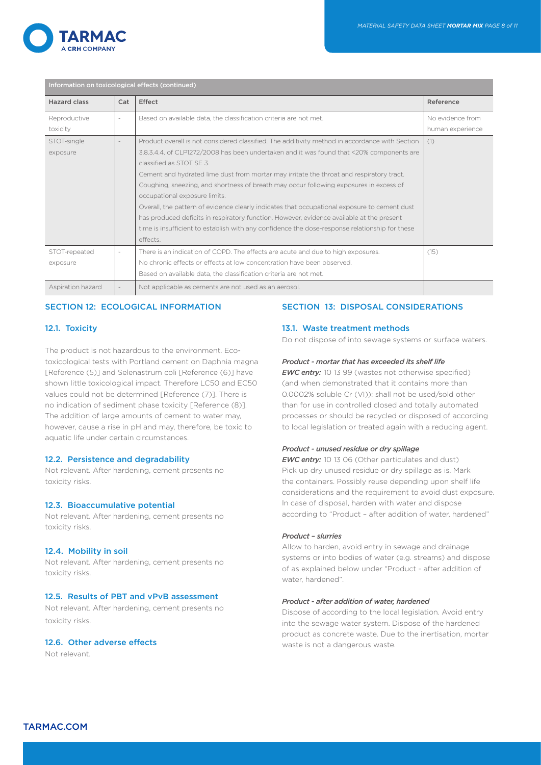

| Information on toxicological effects (continued) |     |                                                                                                                                                                                                                                                                                                                                                                                                                                                                                                                                                                                                                                                                                                                                                          |                  |
|--------------------------------------------------|-----|----------------------------------------------------------------------------------------------------------------------------------------------------------------------------------------------------------------------------------------------------------------------------------------------------------------------------------------------------------------------------------------------------------------------------------------------------------------------------------------------------------------------------------------------------------------------------------------------------------------------------------------------------------------------------------------------------------------------------------------------------------|------------------|
| <b>Hazard class</b>                              | Cat | Effect                                                                                                                                                                                                                                                                                                                                                                                                                                                                                                                                                                                                                                                                                                                                                   | Reference        |
| Reproductive                                     |     | Based on available data, the classification criteria are not met.                                                                                                                                                                                                                                                                                                                                                                                                                                                                                                                                                                                                                                                                                        | No evidence from |
| toxicity                                         |     |                                                                                                                                                                                                                                                                                                                                                                                                                                                                                                                                                                                                                                                                                                                                                          | human experience |
| STOT-single<br>exposure                          |     | Product overall is not considered classified. The additivity method in accordance with Section<br>3.8.3.4.4. of CLP1272/2008 has been undertaken and it was found that <20% components are<br>classified as STOT SE 3.<br>Cement and hydrated lime dust from mortar may irritate the throat and respiratory tract.<br>Coughing, sneezing, and shortness of breath may occur following exposures in excess of<br>occupational exposure limits.<br>Overall, the pattern of evidence clearly indicates that occupational exposure to cement dust<br>has produced deficits in respiratory function. However, evidence available at the present<br>time is insufficient to establish with any confidence the dose-response relationship for these<br>effects. | (1)              |
| STOT-repeated<br>exposure                        |     | There is an indication of COPD. The effects are acute and due to high exposures.<br>No chronic effects or effects at low concentration have been observed.<br>Based on available data, the classification criteria are not met.                                                                                                                                                                                                                                                                                                                                                                                                                                                                                                                          | (15)             |
| Aspiration hazard                                |     | Not applicable as cements are not used as an aerosol.                                                                                                                                                                                                                                                                                                                                                                                                                                                                                                                                                                                                                                                                                                    |                  |

# SECTION 12: ECOLOGICAL INFORMATION

# 12.1. Toxicity

The product is not hazardous to the environment. Ecotoxicological tests with Portland cement on Daphnia magna [Reference (5)] and Selenastrum coli [Reference (6)] have shown little toxicological impact. Therefore LC50 and EC50 values could not be determined [Reference (7)]. There is no indication of sediment phase toxicity [Reference (8)]. The addition of large amounts of cement to water may, however, cause a rise in pH and may, therefore, be toxic to aquatic life under certain circumstances.

# 12.2. Persistence and degradability

Not relevant. After hardening, cement presents no toxicity risks.

#### 12.3. Bioaccumulative potential

Not relevant. After hardening, cement presents no toxicity risks.

# 12.4. Mobility in soil

Not relevant. After hardening, cement presents no toxicity risks.

# 12.5. Results of PBT and vPvB assessment

Not relevant. After hardening, cement presents no toxicity risks.

# 12.6. Other adverse effects

Not relevant.

# SECTION 13: DISPOSAL CONSIDERATIONS

#### 13.1. Waste treatment methods

Do not dispose of into sewage systems or surface waters.

#### *Product - mortar that has exceeded its shelf life*

*EWC entry:* 10 13 99 (wastes not otherwise specified) (and when demonstrated that it contains more than 0.0002% soluble Cr (VI)): shall not be used/sold other than for use in controlled closed and totally automated processes or should be recycled or disposed of according to local legislation or treated again with a reducing agent.

#### *Product - unused residue or dry spillage*

*EWC entry:* 10 13 06 (Other particulates and dust) Pick up dry unused residue or dry spillage as is. Mark the containers. Possibly reuse depending upon shelf life considerations and the requirement to avoid dust exposure. In case of disposal, harden with water and dispose according to "Product – after addition of water, hardened"

#### *Product – slurries*

Allow to harden, avoid entry in sewage and drainage systems or into bodies of water (e.g. streams) and dispose of as explained below under "Product - after addition of water, hardened"

#### *Product - after addition of water, hardened*

Dispose of according to the local legislation. Avoid entry into the sewage water system. Dispose of the hardened product as concrete waste. Due to the inertisation, mortar waste is not a dangerous waste.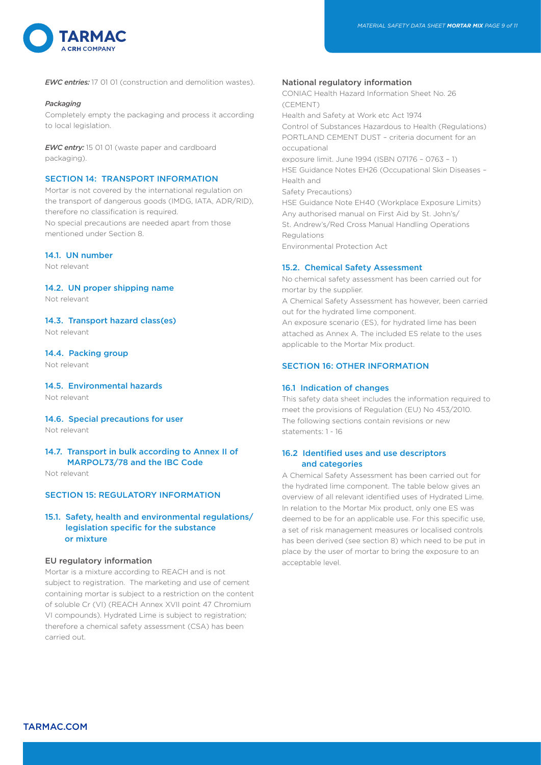

*EWC entries:* 17 01 01 (construction and demolition wastes).

#### *Packaging*

Completely empty the packaging and process it according to local legislation.

*EWC entry:* 15 01 01 (waste paper and cardboard packaging).

# SECTION 14: TRANSPORT INFORMATION

Mortar is not covered by the international regulation on the transport of dangerous goods (IMDG, IATA, ADR/RID), therefore no classification is required. No special precautions are needed apart from those mentioned under Section 8.

# 14.1. UN number

Not relevant

# 14.2. UN proper shipping name

Not relevant

14.3. Transport hazard class(es)

Not relevant

# 14.4. Packing group

Not relevant

#### 14.5. Environmental hazards Not relevant

# 14.6. Special precautions for user

Not relevant

# 14.7. Transport in bulk according to Annex II of MARPOL73/78 and the IBC Code

Not relevant

# SECTION 15: REGULATORY INFORMATION

# 15.1. Safety, health and environmental regulations/ legislation specific for the substance or mixture

# EU regulatory information

Mortar is a mixture according to REACH and is not subject to registration. The marketing and use of cement containing mortar is subject to a restriction on the content of soluble Cr (VI) (REACH Annex XVII point 47 Chromium VI compounds). Hydrated Lime is subject to registration; therefore a chemical safety assessment (CSA) has been carried out.

# National regulatory information

CONIAC Health Hazard Information Sheet No. 26 (CEMENT) Health and Safety at Work etc Act 1974 Control of Substances Hazardous to Health (Regulations) PORTLAND CEMENT DUST – criteria document for an occupational exposure limit. June 1994 (ISBN 07176 – 0763 – 1) HSE Guidance Notes EH26 (Occupational Skin Diseases – Health and Safety Precautions) HSE Guidance Note EH40 (Workplace Exposure Limits) Any authorised manual on First Aid by St. John's/ St. Andrew's/Red Cross Manual Handling Operations **Regulations** Environmental Protection Act

#### 15.2. Chemical Safety Assessment

No chemical safety assessment has been carried out for mortar by the supplier.

A Chemical Safety Assessment has however, been carried out for the hydrated lime component.

An exposure scenario (ES), for hydrated lime has been attached as Annex A. The included ES relate to the uses applicable to the Mortar Mix product.

# SECTION 16: OTHER INFORMATION

#### 16.1 Indication of changes

This safety data sheet includes the information required to meet the provisions of Regulation (EU) No 453/2010. The following sections contain revisions or new statements: 1 - 16

# 16.2 Identified uses and use descriptors and categories

A Chemical Safety Assessment has been carried out for the hydrated lime component. The table below gives an overview of all relevant identified uses of Hydrated Lime. In relation to the Mortar Mix product, only one ES was deemed to be for an applicable use. For this specific use, a set of risk management measures or localised controls has been derived (see section 8) which need to be put in place by the user of mortar to bring the exposure to an acceptable level.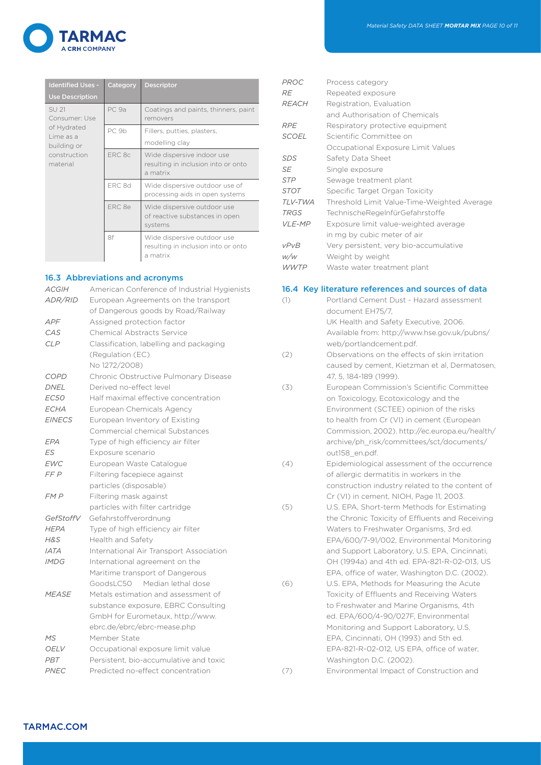

| <b>Identified Uses -</b><br><b>Use Description</b>                | Category | <b>Descriptor</b>                                                              |
|-------------------------------------------------------------------|----------|--------------------------------------------------------------------------------|
| SU 21<br>Consumer: Use<br>of Hydrated<br>Lime as a<br>building or | PC 9a    | Coatings and paints, thinners, paint<br>removers                               |
|                                                                   | PC 9b    | Fillers, putties, plasters,<br>modelling clay                                  |
| construction<br>material                                          | FRC 8c   | Wide dispersive indoor use<br>resulting in inclusion into or onto<br>a matrix  |
|                                                                   | ERC 8d   | Wide dispersive outdoor use of<br>processing aids in open systems              |
|                                                                   | FRC 8e   | Wide dispersive outdoor use<br>of reactive substances in open<br>systems       |
|                                                                   | 8f       | Wide dispersive outdoor use<br>resulting in inclusion into or onto<br>a matrix |

# 16.3 Abbreviations and acronyms

| <b>ACGIH</b>  | American Conference of Industrial Hygienists |
|---------------|----------------------------------------------|
| ADR/RID       | European Agreements on the transport         |
|               | of Dangerous goods by Road/Railway           |
| APF           | Assigned protection factor                   |
| CAS           | <b>Chemical Abstracts Service</b>            |
| <b>CLP</b>    | Classification, labelling and packaging      |
|               | (Regulation (EC)                             |
|               | No 1272/2008)                                |
| <b>COPD</b>   | Chronic Obstructive Pulmonary Disease        |
| <b>DNEL</b>   | Derived no-effect level                      |
| <i>EC50</i>   | Half maximal effective concentration         |
| ECHA          | European Chemicals Agency                    |
| <b>EINECS</b> | European Inventory of Existing               |
|               | Commercial chemical Substances               |
| EPA           | Type of high efficiency air filter           |
| ES            | Exposure scenario                            |
| <b>EWC</b>    | European Waste Catalogue                     |
| FF P          | Filtering facepiece against                  |
|               | particles (disposable)                       |
| FM P          | Filtering mask against                       |
|               | particles with filter cartridge              |
| GefStoffV     | Gefahrstoffverordnung                        |
| <b>HEPA</b>   | Type of high efficiency air filter           |
| $H\&S$        | Health and Safety                            |
| <b>IATA</b>   | International Air Transport Association      |
| <b>IMDG</b>   | International agreement on the               |
|               | Maritime transport of Dangerous              |
|               | GoodsLC50 Median lethal dose                 |
| <b>MEASE</b>  | Metals estimation and assessment of          |
|               | substance exposure, EBRC Consulting          |
|               | GmbH for Eurometaux, http://www.             |
|               | ebrc.de/ebrc/ebrc-mease.php                  |
| <b>MS</b>     | Member State                                 |
| <b>OELV</b>   | Occupational exposure limit value            |
| PRT           | Persistent, bio-accumulative and toxic       |
| PNEC          | Predicted no-effect concentration            |

| PROC                   | Process category                            |
|------------------------|---------------------------------------------|
| RE                     | Repeated exposure                           |
|                        |                                             |
| <b>REACH</b>           | Registration, Evaluation                    |
|                        | and Authorisation of Chemicals              |
| <b>RPE</b>             | Respiratory protective equipment            |
| <b>SCOEL</b>           | Scientific Committee on                     |
|                        | Occupational Exposure Limit Values          |
| SDS                    | Safety Data Sheet                           |
| <b>SE</b>              | Single exposure                             |
| <b>STP</b>             | Sewage treatment plant                      |
| STOT                   | Specific Target Organ Toxicity              |
| TLV-TWA                | Threshold Limit Value-Time-Weighted Average |
| <b>TRGS</b>            | Technische Regelnfür Gefahrst offe          |
| <b>VLE-MP</b>          | Exposure limit value-weighted average       |
|                        | in mg by cubic meter of air                 |
| <b>vPv<sub>R</sub></b> | Very persistent, very bio-accumulative      |
| w/w                    | Weight by weight                            |
| WWTP                   | Waste water treatment plant                 |

# 16.4 Key literature references and sources of data

| (1) | Portland Cement Dust - Hazard assessment                            |
|-----|---------------------------------------------------------------------|
|     | document EH75/7.                                                    |
|     | UK Health and Safety Executive, 2006.                               |
|     | Available from: http://www.hse.gov.uk/pubns/                        |
|     | web/portlandcement.pdf.                                             |
| (2) | Observations on the effects of skin irritation                      |
|     | caused by cement, Kietzman et al, Dermatosen,                       |
|     | 47, 5, 184-189 (1999).                                              |
| (3) | European Commission's Scientific Committee                          |
|     | on Toxicology, Ecotoxicology and the                                |
|     | Environment (SCTEE) opinion of the risks                            |
|     | to health from Cr (VI) in cement (European                          |
|     | Commission, 2002). http://ec.europa.eu/health/                      |
|     | archive/ph_risk/committees/sct/documents/                           |
|     | out158 en.pdf.                                                      |
| (4) | Epidemiological assessment of the occurrence                        |
|     | of allergic dermatitis in workers in the                            |
|     | construction industry related to the content of                     |
|     | Cr (VI) in cement, NIOH, Page 11, 2003.                             |
| (5) | U.S. EPA, Short-term Methods for Estimating                         |
|     | the Chronic Toxicity of Effluents and Receiving                     |
|     | Waters to Freshwater Organisms, 3rd ed.                             |
|     | EPA/600/7-91/002, Environmental Monitoring                          |
|     | and Support Laboratory, U.S. EPA, Cincinnati,                       |
|     | OH (1994a) and 4th ed. EPA-821-R-02-013, US                         |
|     | EPA, office of water, Washington D.C. (2002).                       |
| (6) | U.S. EPA, Methods for Measuring the Acute                           |
|     | Toxicity of Effluents and Receiving Waters                          |
|     | to Freshwater and Marine Organisms, 4th                             |
|     | ed. EPA/600/4-90/027F, Environmental                                |
|     | Monitoring and Support Laboratory, U.S.                             |
|     | EPA, Cincinnati, OH (1993) and 5th ed.                              |
|     | EPA-821-R-02-012, US EPA, office of water,                          |
| (7) | Washington D.C. (2002).<br>Environmental Impact of Construction and |
|     |                                                                     |